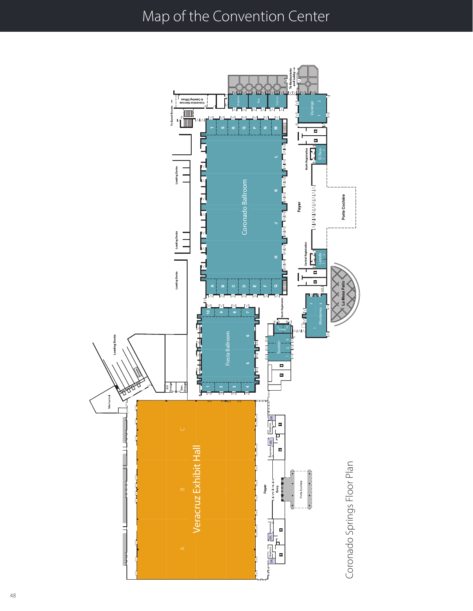### Map of the Convention Center

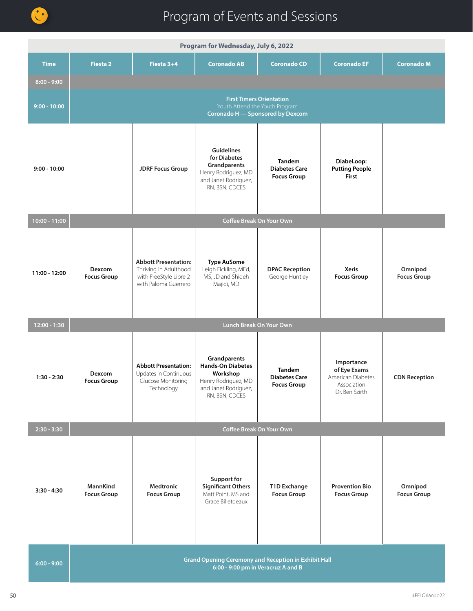

| Program for Wednesday, July 6, 2022 |                                                                                                   |                                                                                                        |                                                                                                                       |                                                             |                                                                                  |                               |
|-------------------------------------|---------------------------------------------------------------------------------------------------|--------------------------------------------------------------------------------------------------------|-----------------------------------------------------------------------------------------------------------------------|-------------------------------------------------------------|----------------------------------------------------------------------------------|-------------------------------|
| <b>Time</b>                         | <b>Fiesta 2</b>                                                                                   | Fiesta 3+4                                                                                             | <b>Coronado AB</b>                                                                                                    | <b>Coronado CD</b>                                          | <b>Coronado EF</b>                                                               | <b>Coronado M</b>             |
| $8:00 - 9:00$                       |                                                                                                   |                                                                                                        |                                                                                                                       |                                                             |                                                                                  |                               |
| $9:00 - 10:00$                      |                                                                                                   |                                                                                                        | <b>First Timers Orientation</b><br>Youth Attend the Youth Program<br>Coronado H - Sponsored by Dexcom                 |                                                             |                                                                                  |                               |
| $9:00 - 10:00$                      |                                                                                                   | <b>JDRF Focus Group</b>                                                                                | <b>Guidelines</b><br>for Diabetes<br>Grandparents<br>Henry Rodriguez, MD<br>and Janet Rodriguez,<br>RN, BSN, CDCES    | <b>Tandem</b><br><b>Diabetes Care</b><br><b>Focus Group</b> | DiabeLoop:<br><b>Putting People</b><br><b>First</b>                              |                               |
| 10:00 - 11:00                       |                                                                                                   |                                                                                                        | <b>Coffee Break On Your Own</b>                                                                                       |                                                             |                                                                                  |                               |
| 11:00 - 12:00                       | Dexcom<br><b>Focus Group</b>                                                                      | <b>Abbott Presentation:</b><br>Thriving in Adulthood<br>with FreeStyle Libre 2<br>with Paloma Guerrero | <b>Type AuSome</b><br>Leigh Fickling, MEd,<br>MS, JD and Shideh<br>Majidi, MD                                         | <b>DPAC Reception</b><br>George Huntley                     | <b>Xeris</b><br><b>Focus Group</b>                                               | Omnipod<br><b>Focus Group</b> |
| $12:00 - 1:30$                      |                                                                                                   |                                                                                                        | Lunch Break On Your Own                                                                                               |                                                             |                                                                                  |                               |
| $1:30 - 2:30$                       | Dexcom<br><b>Focus Group</b>                                                                      | <b>Abbott Presentation:</b><br>Updates in Continuous<br>Glucose Monitoring<br>Technology               | Grandparents<br><b>Hands-On Diabetes</b><br>Workshop<br>Henry Rodriguez, MD<br>and Janet Rodriguez,<br>RN, BSN, CDCES | <b>Tandem</b><br><b>Diabetes Care</b><br><b>Focus Group</b> | Importance<br>of Eye Exams<br>American Diabetes<br>Association<br>Dr. Ben Szirth | <b>CDN Reception</b>          |
| $2:30 - 3:30$                       |                                                                                                   |                                                                                                        | <b>Coffee Break On Your Own</b>                                                                                       |                                                             |                                                                                  |                               |
| $3:30 - 4:30$                       | MannKind<br><b>Focus Group</b>                                                                    | <b>Medtronic</b><br><b>Focus Group</b>                                                                 | <b>Support for</b><br><b>Significant Others</b><br>Matt Point, MS and<br>Grace Billetdeaux                            | T1D Exchange<br><b>Focus Group</b>                          | <b>Provention Bio</b><br><b>Focus Group</b>                                      | Omnipod<br><b>Focus Group</b> |
| $6:00 - 9:00$                       | <b>Grand Opening Ceremony and Reception in Exhibit Hall</b><br>6:00 - 9:00 pm in Veracruz A and B |                                                                                                        |                                                                                                                       |                                                             |                                                                                  |                               |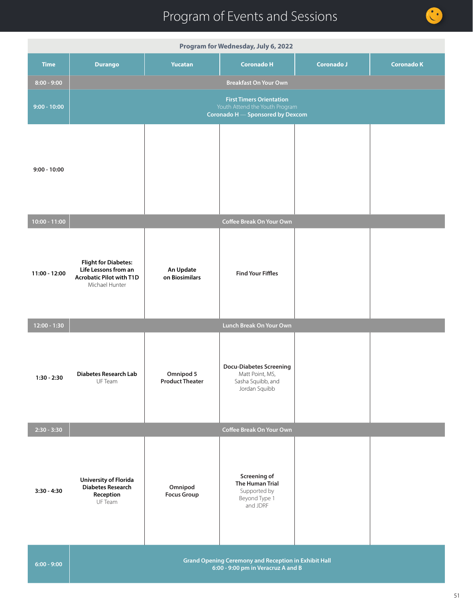|                                      | Program for Wednesday, July 6, 2022                                                                      |                                     |                                                                                         |                   |                   |  |  |
|--------------------------------------|----------------------------------------------------------------------------------------------------------|-------------------------------------|-----------------------------------------------------------------------------------------|-------------------|-------------------|--|--|
| <b>Time</b>                          | <b>Durango</b>                                                                                           | <b>Yucatan</b>                      | <b>Coronado H</b>                                                                       | <b>Coronado J</b> | <b>Coronado K</b> |  |  |
| $8:00 - 9:00$                        |                                                                                                          |                                     | <b>Breakfast On Your Own</b>                                                            |                   |                   |  |  |
| $9:00 - 10:00$                       | <b>First Timers Orientation</b><br>Youth Attend the Youth Program<br>Coronado H - Sponsored by Dexcom    |                                     |                                                                                         |                   |                   |  |  |
| $9:00 - 10:00$                       |                                                                                                          |                                     |                                                                                         |                   |                   |  |  |
| $10:00 - 11:00$                      |                                                                                                          |                                     | Coffee Break On Your Own                                                                |                   |                   |  |  |
| 11:00 - 12:00                        | <b>Flight for Diabetes:</b><br>Life Lessons from an<br><b>Acrobatic Pilot with T1D</b><br>Michael Hunter | An Update<br>on Biosimilars         | <b>Find Your Fiffles</b>                                                                |                   |                   |  |  |
| $\overline{12:00} - \overline{1:30}$ | Lunch Break On Your Own                                                                                  |                                     |                                                                                         |                   |                   |  |  |
| $1:30 - 2:30$                        | <b>Diabetes Research Lab</b><br>UF Team                                                                  | Omnipod 5<br><b>Product Theater</b> | <b>Docu-Diabetes Screening</b><br>Matt Point, MS,<br>Sasha Squibb, and<br>Jordan Squibb |                   |                   |  |  |
| $2:30 - 3:30$                        |                                                                                                          |                                     | Coffee Break On Your Own                                                                |                   |                   |  |  |
| $3:30 - 4:30$                        | <b>University of Florida</b><br><b>Diabetes Research</b><br>Reception<br>UF Team                         | Omnipod<br><b>Focus Group</b>       | Screening of<br><b>The Human Trial</b><br>Supported by<br>Beyond Type 1<br>and JDRF     |                   |                   |  |  |
| $6:00 - 9:00$                        | <b>Grand Opening Ceremony and Reception in Exhibit Hall</b><br>6:00 - 9:00 pm in Veracruz A and B        |                                     |                                                                                         |                   |                   |  |  |

O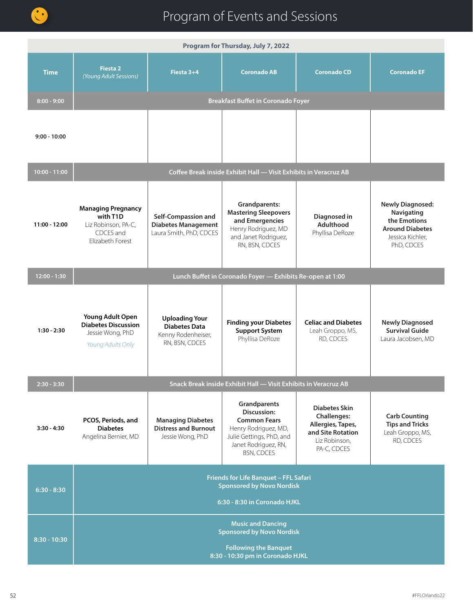

| Program for Thursday, July 7, 2022 |                                                                                                                                  |                                                                                       |                                                                                                                                                            |                                                                                                                      |                                                                                                                   |
|------------------------------------|----------------------------------------------------------------------------------------------------------------------------------|---------------------------------------------------------------------------------------|------------------------------------------------------------------------------------------------------------------------------------------------------------|----------------------------------------------------------------------------------------------------------------------|-------------------------------------------------------------------------------------------------------------------|
| <b>Time</b>                        | <b>Fiesta 2</b><br>(Young Adult Sessions)                                                                                        | Fiesta 3+4                                                                            | <b>Coronado AB</b>                                                                                                                                         | <b>Coronado CD</b>                                                                                                   | <b>Coronado EF</b>                                                                                                |
| $8:00 - 9:00$                      |                                                                                                                                  |                                                                                       | <b>Breakfast Buffet in Coronado Foyer</b>                                                                                                                  |                                                                                                                      |                                                                                                                   |
| $9:00 - 10:00$                     |                                                                                                                                  |                                                                                       |                                                                                                                                                            |                                                                                                                      |                                                                                                                   |
| 10:00 - 11:00                      |                                                                                                                                  |                                                                                       | Coffee Break inside Exhibit Hall - Visit Exhibits in Veracruz AB                                                                                           |                                                                                                                      |                                                                                                                   |
| 11:00 - 12:00                      | <b>Managing Pregnancy</b><br>with T1D<br>Liz Robinson, PA-C,<br>CDCES and<br>Flizabeth Forest                                    | Self-Compassion and<br><b>Diabetes Management</b><br>Laura Smith, PhD, CDCES          | <b>Grandparents:</b><br><b>Mastering Sleepovers</b><br>and Emergencies<br>Henry Rodriguez, MD<br>and Janet Rodriguez,<br>RN, BSN, CDCES                    | Diagnosed in<br><b>Adulthood</b><br>Phyllisa DeRoze                                                                  | <b>Newly Diagnosed:</b><br>Navigating<br>the Emotions<br><b>Around Diabetes</b><br>Jessica Kichler,<br>PhD, CDCES |
| $12:00 - 1:30$                     |                                                                                                                                  |                                                                                       | Lunch Buffet in Coronado Foyer - Exhibits Re-open at 1:00                                                                                                  |                                                                                                                      |                                                                                                                   |
| $1:30 - 2:30$                      | Young Adult Open<br><b>Diabetes Discussion</b><br>Jessie Wong, PhD<br>Young Adults Only                                          | <b>Uploading Your</b><br><b>Diabetes Data</b><br>Kenny Rodenheiser,<br>RN, BSN, CDCES | <b>Finding your Diabetes</b><br><b>Support System</b><br>Phyllisa DeRoze                                                                                   | <b>Celiac and Diabetes</b><br>Leah Groppo, MS,<br>RD, CDCES                                                          | <b>Newly Diagnosed</b><br><b>Survival Guide</b><br>Laura Jacobsen, MD                                             |
| 2:30 - 3:30                        |                                                                                                                                  |                                                                                       | Snack Break inside Exhibit Hall - Visit Exhibits in Veracruz AB                                                                                            |                                                                                                                      |                                                                                                                   |
| 3:30 - 4:30                        | PCOS, Periods, and<br><b>Diabetes</b><br>Angelina Bernier, MD                                                                    | <b>Managing Diabetes</b><br><b>Distress and Burnout</b><br>Jessie Wong, PhD           | Grandparents<br><b>Discussion:</b><br><b>Common Fears</b><br>Henry Rodriguez, MD,<br>Julie Gettings, PhD, and<br>Janet Rodriguez, RN,<br><b>BSN, CDCES</b> | <b>Diabetes Skin</b><br><b>Challenges:</b><br>Allergies, Tapes,<br>and Site Rotation<br>Liz Robinson,<br>PA-C, CDCES | <b>Carb Counting</b><br><b>Tips and Tricks</b><br>Leah Groppo, MS,<br>RD, CDCES                                   |
| $6:30 - 8:30$                      | Friends for Life Banquet - FFL Safari<br><b>Sponsored by Novo Nordisk</b><br>6:30 - 8:30 in Coronado HJKL                        |                                                                                       |                                                                                                                                                            |                                                                                                                      |                                                                                                                   |
| $8:30 - 10:30$                     | <b>Music and Dancing</b><br><b>Sponsored by Novo Nordisk</b><br><b>Following the Banquet</b><br>8:30 - 10:30 pm in Coronado HJKL |                                                                                       |                                                                                                                                                            |                                                                                                                      |                                                                                                                   |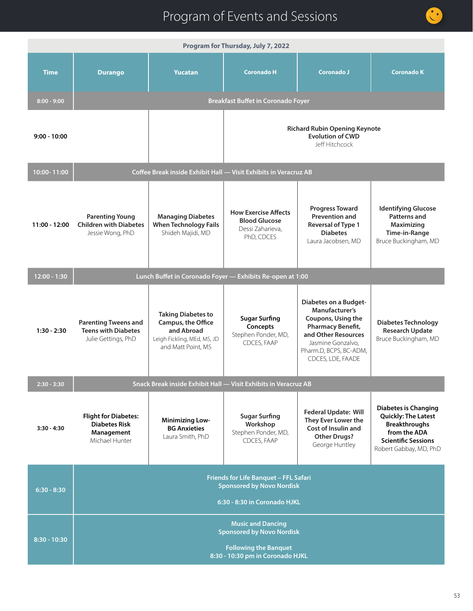

| Program for Thursday, July 7, 2022 |                                                                                                                                  |                                                                                                                    |                                                                                       |                                                                                                                                                                               |                                                                                                                                                           |  |  |
|------------------------------------|----------------------------------------------------------------------------------------------------------------------------------|--------------------------------------------------------------------------------------------------------------------|---------------------------------------------------------------------------------------|-------------------------------------------------------------------------------------------------------------------------------------------------------------------------------|-----------------------------------------------------------------------------------------------------------------------------------------------------------|--|--|
| <b>Time</b>                        | <b>Durango</b>                                                                                                                   | <b>Yucatan</b>                                                                                                     | <b>Coronado H</b>                                                                     | <b>Coronado J</b>                                                                                                                                                             | <b>Coronado K</b>                                                                                                                                         |  |  |
| $8:00 - 9:00$                      |                                                                                                                                  |                                                                                                                    | <b>Breakfast Buffet in Coronado Foyer</b>                                             |                                                                                                                                                                               |                                                                                                                                                           |  |  |
| $9:00 - 10:00$                     |                                                                                                                                  |                                                                                                                    | <b>Richard Rubin Opening Keynote</b><br><b>Evolution of CWD</b><br>Jeff Hitchcock     |                                                                                                                                                                               |                                                                                                                                                           |  |  |
| 10:00-11:00                        |                                                                                                                                  | Coffee Break inside Exhibit Hall - Visit Exhibits in Veracruz AB                                                   |                                                                                       |                                                                                                                                                                               |                                                                                                                                                           |  |  |
| 11:00 - 12:00                      | <b>Parenting Young</b><br><b>Children with Diabetes</b><br>Jessie Wong, PhD                                                      | <b>Managing Diabetes</b><br><b>When Technology Fails</b><br>Shideh Majidi, MD                                      | <b>How Exercise Affects</b><br><b>Blood Glucose</b><br>Dessi Zaharieva,<br>PhD, CDCES | <b>Progress Toward</b><br><b>Prevention and</b><br>Reversal of Type 1<br><b>Diabetes</b><br>Laura Jacobsen, MD                                                                | <b>Identifying Glucose</b><br><b>Patterns and</b><br>Maximizing<br>Time-in-Range<br>Bruce Buckingham, MD                                                  |  |  |
| $12:00 - 1:30$                     |                                                                                                                                  | Lunch Buffet in Coronado Foyer - Exhibits Re-open at 1:00                                                          |                                                                                       |                                                                                                                                                                               |                                                                                                                                                           |  |  |
| $1:30 - 2:30$                      | <b>Parenting Tweens and</b><br><b>Teens with Diabetes</b><br>Julie Gettings, PhD                                                 | <b>Taking Diabetes to</b><br>Campus, the Office<br>and Abroad<br>Leigh Fickling, MEd, MS, JD<br>and Matt Point, MS | <b>Sugar Surfing</b><br>Concepts<br>Stephen Ponder, MD,<br>CDCES, FAAP                | Diabetes on a Budget-<br>Manufacturer's<br>Coupons, Using the<br>Pharmacy Benefit,<br>and Other Resources<br>Jasmine Gonzalvo,<br>Pharm.D, BCPS, BC-ADM,<br>CDCES, LDE, FAADE | <b>Diabetes Technology</b><br><b>Research Update</b><br>Bruce Buckingham, MD                                                                              |  |  |
| $2:30 - 3:30$                      |                                                                                                                                  | Snack Break inside Exhibit Hall — Visit Exhibits in Veracruz AB                                                    |                                                                                       |                                                                                                                                                                               |                                                                                                                                                           |  |  |
| $3:30 - 4:30$                      | <b>Flight for Diabetes:</b><br><b>Diabetes Risk</b><br>Management<br>Michael Hunter                                              | <b>Minimizing Low-</b><br><b>BG Anxieties</b><br>Laura Smith, PhD                                                  | <b>Sugar Surfing</b><br>Workshop<br>Stephen Ponder, MD,<br>CDCES, FAAP                | <b>Federal Update: Will</b><br>They Ever Lower the<br>Cost of Insulin and<br><b>Other Drugs?</b><br>George Huntley                                                            | <b>Diabetes is Changing</b><br><b>Quickly: The Latest</b><br><b>Breakthroughs</b><br>from the ADA<br><b>Scientific Sessions</b><br>Robert Gabbay, MD, PhD |  |  |
| $6:30 - 8:30$                      | Friends for Life Banquet - FFL Safari<br><b>Sponsored by Novo Nordisk</b><br>6:30 - 8:30 in Coronado HJKL                        |                                                                                                                    |                                                                                       |                                                                                                                                                                               |                                                                                                                                                           |  |  |
| $8:30 - 10:30$                     | <b>Music and Dancing</b><br><b>Sponsored by Novo Nordisk</b><br><b>Following the Banquet</b><br>8:30 - 10:30 pm in Coronado HJKL |                                                                                                                    |                                                                                       |                                                                                                                                                                               |                                                                                                                                                           |  |  |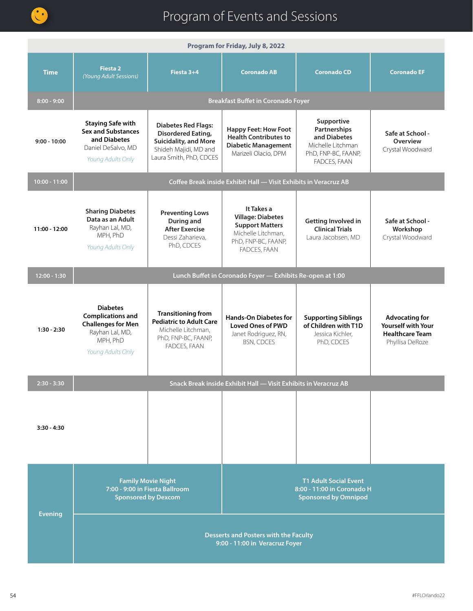

| Program for Friday, July 8, 2022 |                                                                                                                                                                                        |                                                                                                                                      |                                                                                                                               |                                                                                                        |                                                                                                 |
|----------------------------------|----------------------------------------------------------------------------------------------------------------------------------------------------------------------------------------|--------------------------------------------------------------------------------------------------------------------------------------|-------------------------------------------------------------------------------------------------------------------------------|--------------------------------------------------------------------------------------------------------|-------------------------------------------------------------------------------------------------|
| <b>Time</b>                      | <b>Fiesta 2</b><br>(Young Adult Sessions)                                                                                                                                              | Fiesta 3+4                                                                                                                           | <b>Coronado AB</b>                                                                                                            | <b>Coronado CD</b>                                                                                     | <b>Coronado EF</b>                                                                              |
| $8:00 - 9:00$                    | <b>Breakfast Buffet in Coronado Foyer</b>                                                                                                                                              |                                                                                                                                      |                                                                                                                               |                                                                                                        |                                                                                                 |
| $9:00 - 10:00$                   | <b>Staying Safe with</b><br><b>Sex and Substances</b><br>and Diabetes<br>Daniel DeSalvo, MD<br>Young Adults Only                                                                       | <b>Diabetes Red Flags:</b><br><b>Disordered Eating,</b><br>Suicidality, and More<br>Shideh Majidi, MD and<br>Laura Smith, PhD, CDCES | <b>Happy Feet: How Foot</b><br><b>Health Contributes to</b><br><b>Diabetic Management</b><br>Marizeli Olacio, DPM             | Supportive<br>Partnerships<br>and Diabetes<br>Michelle Litchman<br>PhD, FNP-BC, FAANP,<br>FADCES, FAAN | Safe at School -<br>Overview<br>Crystal Woodward                                                |
| 10:00 - 11:00                    |                                                                                                                                                                                        |                                                                                                                                      | Coffee Break inside Exhibit Hall - Visit Exhibits in Veracruz AB                                                              |                                                                                                        |                                                                                                 |
| 11:00 - 12:00                    | <b>Sharing Diabetes</b><br>Data as an Adult<br>Rayhan Lal, MD,<br>MPH, PhD<br>Young Adults Only                                                                                        | <b>Preventing Lows</b><br>During and<br><b>After Exercise</b><br>Dessi Zaharieva,<br>PhD, CDCES                                      | It Takes a<br><b>Village: Diabetes</b><br><b>Support Matters</b><br>Michelle Litchman,<br>PhD, FNP-BC, FAANP,<br>FADCES, FAAN | <b>Getting Involved in</b><br><b>Clinical Trials</b><br>Laura Jacobsen, MD                             | Safe at School -<br>Workshop<br>Crystal Woodward                                                |
| $12:00 - 1:30$                   |                                                                                                                                                                                        |                                                                                                                                      | Lunch Buffet in Coronado Foyer - Exhibits Re-open at 1:00                                                                     |                                                                                                        |                                                                                                 |
| $1:30 - 2:30$                    | <b>Diabetes</b><br><b>Complications and</b><br><b>Challenges for Men</b><br>Rayhan Lal, MD,<br>MPH, PhD<br>Young Adults Only                                                           | <b>Transitioning from</b><br><b>Pediatric to Adult Care</b><br>Michelle Litchman,<br>PhD, FNP-BC, FAANP,<br>FADCES, FAAN             | <b>Hands-On Diabetes for</b><br><b>Loved Ones of PWD</b><br>Janet Rodriguez, RN,<br><b>BSN, CDCES</b>                         | <b>Supporting Siblings</b><br>of Children with T1D<br>Jessica Kichler,<br>PhD, CDCES                   | <b>Advocating for</b><br><b>Yourself with Your</b><br><b>Healthcare Team</b><br>Phyllisa DeRoze |
| $2:30 - 3:30$                    |                                                                                                                                                                                        |                                                                                                                                      | Snack Break inside Exhibit Hall - Visit Exhibits in Veracruz AB                                                               |                                                                                                        |                                                                                                 |
| $3:30 - 4:30$                    |                                                                                                                                                                                        |                                                                                                                                      |                                                                                                                               |                                                                                                        |                                                                                                 |
| <b>Evening</b>                   | <b>Family Movie Night</b><br><b>T1 Adult Social Event</b><br>7:00 - 9:00 in Fiesta Ballroom<br>8:00 - 11:00 in Coronado H<br><b>Sponsored by Dexcom</b><br><b>Sponsored by Omnipod</b> |                                                                                                                                      |                                                                                                                               |                                                                                                        |                                                                                                 |
|                                  | <b>Desserts and Posters with the Faculty</b><br>9:00 - 11:00 in Veracruz Foyer                                                                                                         |                                                                                                                                      |                                                                                                                               |                                                                                                        |                                                                                                 |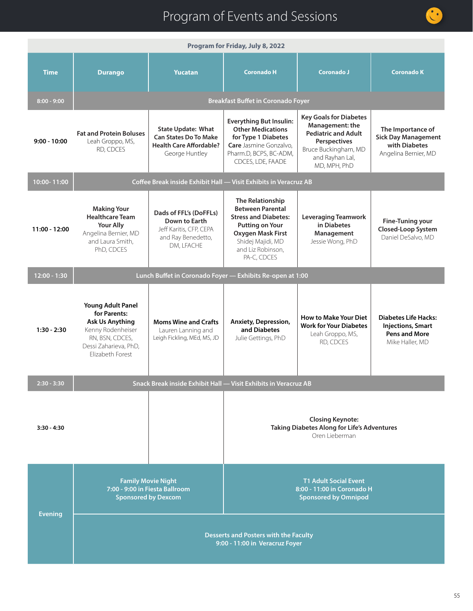|                | Program for Friday, July 8, 2022                                                                                                                        |                                                                                                               |                                                                                                                                                                                           |                                                                                                                                                           |                                                                                                    |  |
|----------------|---------------------------------------------------------------------------------------------------------------------------------------------------------|---------------------------------------------------------------------------------------------------------------|-------------------------------------------------------------------------------------------------------------------------------------------------------------------------------------------|-----------------------------------------------------------------------------------------------------------------------------------------------------------|----------------------------------------------------------------------------------------------------|--|
| <b>Time</b>    | <b>Durango</b>                                                                                                                                          | <b>Yucatan</b>                                                                                                | <b>Coronado H</b>                                                                                                                                                                         | Coronado J                                                                                                                                                | <b>Coronado K</b>                                                                                  |  |
| $8:00 - 9:00$  | <b>Breakfast Buffet in Coronado Foyer</b>                                                                                                               |                                                                                                               |                                                                                                                                                                                           |                                                                                                                                                           |                                                                                                    |  |
| $9:00 - 10:00$ | <b>Fat and Protein Boluses</b><br>Leah Groppo, MS,<br>RD, CDCES                                                                                         | <b>State Update: What</b><br><b>Can States Do To Make</b><br><b>Health Care Affordable?</b><br>George Huntley | <b>Everything But Insulin:</b><br><b>Other Medications</b><br>for Type 1 Diabetes<br>Care Jasmine Gonzalvo,<br>Pharm.D, BCPS, BC-ADM,<br>CDCES, LDE, FAADE                                | <b>Key Goals for Diabetes</b><br>Management: the<br><b>Pediatric and Adult</b><br>Perspectives<br>Bruce Buckingham, MD<br>and Rayhan Lal,<br>MD, MPH, PhD | The Importance of<br><b>Sick Day Management</b><br>with Diabetes<br>Angelina Bernier, MD           |  |
| 10:00-11:00    |                                                                                                                                                         | Coffee Break inside Exhibit Hall - Visit Exhibits in Veracruz AB                                              |                                                                                                                                                                                           |                                                                                                                                                           |                                                                                                    |  |
| 11:00 - 12:00  | <b>Making Your</b><br><b>Healthcare Team</b><br><b>Your Ally</b><br>Angelina Bernier, MD<br>and Laura Smith,<br>PhD, CDCES                              | Dads of FFL's (DoFFLs)<br>Down to Earth<br>Jeff Karitis, CFP, CEPA<br>and Ray Benedetto,<br>DM, LFACHE        | The Relationship<br><b>Between Parental</b><br><b>Stress and Diabetes:</b><br><b>Putting on Your</b><br><b>Oxygen Mask First</b><br>Shidej Majidi, MD<br>and Liz Robinson,<br>PA-C, CDCES | <b>Leveraging Teamwork</b><br>in Diabetes<br>Management<br>Jessie Wong, PhD                                                                               | <b>Fine-Tuning your</b><br>Closed-Loop System<br>Daniel DeSalvo, MD                                |  |
| 12:00 - 1:30   |                                                                                                                                                         | Lunch Buffet in Coronado Foyer - Exhibits Re-open at 1:00                                                     |                                                                                                                                                                                           |                                                                                                                                                           |                                                                                                    |  |
| $1:30 - 2:30$  | <b>Young Adult Panel</b><br>for Parents:<br><b>Ask Us Anything</b><br>Kenny Rodenheiser<br>RN, BSN, CDCES,<br>Dessi Zaharieva, PhD,<br>Elizabeth Forest | <b>Moms Wine and Crafts</b><br>Lauren Lanning and<br>Leigh Fickling, MEd, MS, JD                              | Anxiety, Depression,<br>and Diabetes<br>Julie Gettings, PhD                                                                                                                               | <b>How to Make Your Diet</b><br><b>Work for Your Diabetes</b><br>Leah Groppo, MS,<br>RD, CDCES                                                            | <b>Diabetes Life Hacks:</b><br><b>Injections, Smart</b><br><b>Pens and More</b><br>Mike Haller, MD |  |
| $2:30 - 3:30$  |                                                                                                                                                         | Snack Break inside Exhibit Hall - Visit Exhibits in Veracruz AB                                               |                                                                                                                                                                                           |                                                                                                                                                           |                                                                                                    |  |
| $3:30 - 4:30$  |                                                                                                                                                         |                                                                                                               | <b>Closing Keynote:</b><br>Taking Diabetes Along for Life's Adventures<br>Oren Lieberman                                                                                                  |                                                                                                                                                           |                                                                                                    |  |
| <b>Evening</b> |                                                                                                                                                         | <b>Family Movie Night</b><br>7:00 - 9:00 in Fiesta Ballroom<br><b>Sponsored by Dexcom</b>                     | <b>T1 Adult Social Event</b><br>8:00 - 11:00 in Coronado H<br><b>Sponsored by Omnipod</b>                                                                                                 |                                                                                                                                                           |                                                                                                    |  |
|                | <b>Desserts and Posters with the Faculty</b><br>9:00 - 11:00 in Veracruz Foyer                                                                          |                                                                                                               |                                                                                                                                                                                           |                                                                                                                                                           |                                                                                                    |  |

O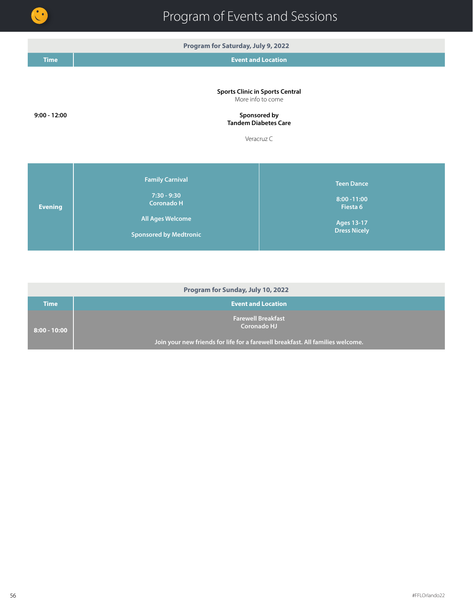

**Program for Saturday, July 9, 2022 Time Event and Location 9:00 - 12:00 Sports Clinic in Sports Central** More info to come **Sponsored by Tandem Diabetes Care**  Veracruz C **Evening Family Carnival 7:30 - 9:30 Coronado H All Ages Welcome Sponsored by Medtronic Teen Dance 8:00 -11:00 Fiesta 6 Ages 13-17 Dress Nicely**

| Program for Sunday, July 10, 2022 |                                                                                |  |  |  |  |
|-----------------------------------|--------------------------------------------------------------------------------|--|--|--|--|
| Time                              | <b>Event and Location</b>                                                      |  |  |  |  |
| $8:00 - 10:00$                    | <b>Farewell Breakfast</b><br>Coronado HJ                                       |  |  |  |  |
|                                   | Join your new friends for life for a farewell breakfast. All families welcome. |  |  |  |  |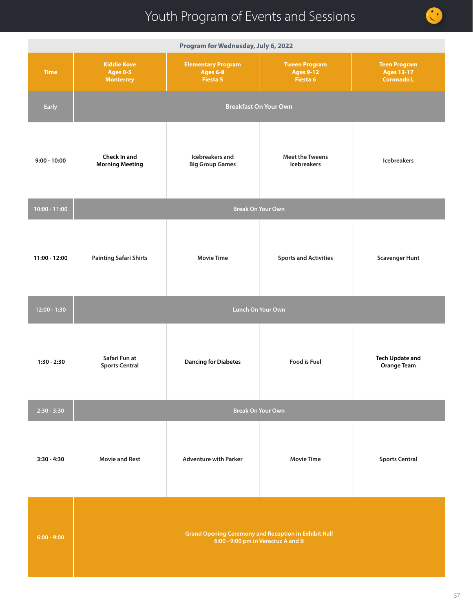| Program for Wednesday, July 6, 2022 |                                                                                     |                                                                                                                  |                                                                                                   |                                                               |  |  |  |
|-------------------------------------|-------------------------------------------------------------------------------------|------------------------------------------------------------------------------------------------------------------|---------------------------------------------------------------------------------------------------|---------------------------------------------------------------|--|--|--|
| <b>Time</b>                         | <b>Kiddie Kove</b><br><b>Ages 0-5</b><br><b>Monterrey</b>                           | <b>Elementary Program</b><br><b>Tween Program</b><br><b>Ages 6-8</b><br><b>Ages 9-12</b><br>Fiesta 5<br>Fiesta 6 |                                                                                                   | <b>Teen Program</b><br><b>Ages 13-17</b><br><b>Coronado L</b> |  |  |  |
| Early                               | <b>Breakfast On Your Own</b>                                                        |                                                                                                                  |                                                                                                   |                                                               |  |  |  |
| $9:00 - 10:00$                      | Icebreakers and<br>Check In and<br><b>Morning Meeting</b><br><b>Big Group Games</b> |                                                                                                                  | <b>Meet the Tweens</b><br><b>Icebreakers</b>                                                      | <b>Icebreakers</b>                                            |  |  |  |
| $10:00 - 11:00$                     |                                                                                     | <b>Break On Your Own</b>                                                                                         |                                                                                                   |                                                               |  |  |  |
| 11:00 - 12:00                       | <b>Painting Safari Shirts</b>                                                       | <b>Movie Time</b>                                                                                                | <b>Sports and Activities</b>                                                                      | <b>Scavenger Hunt</b>                                         |  |  |  |
| 12:00 - 1:30                        | Lunch On Your Own                                                                   |                                                                                                                  |                                                                                                   |                                                               |  |  |  |
| $1:30 - 2:30$                       | Safari Fun at<br><b>Sports Central</b>                                              | <b>Dancing for Diabetes</b>                                                                                      |                                                                                                   | <b>Tech Update and</b><br><b>Orange Team</b>                  |  |  |  |
| $2:30 - 3:30$                       |                                                                                     | <b>Break On Your Own</b>                                                                                         |                                                                                                   |                                                               |  |  |  |
| $3:30 - 4:30$                       | <b>Movie and Rest</b>                                                               | <b>Adventure with Parker</b>                                                                                     | <b>Movie Time</b>                                                                                 | <b>Sports Central</b>                                         |  |  |  |
| $6:00 - 9:00$                       |                                                                                     |                                                                                                                  | <b>Grand Opening Ceremony and Reception in Exhibit Hall</b><br>6:00 - 9:00 pm in Veracruz A and B |                                                               |  |  |  |

 $\bullet$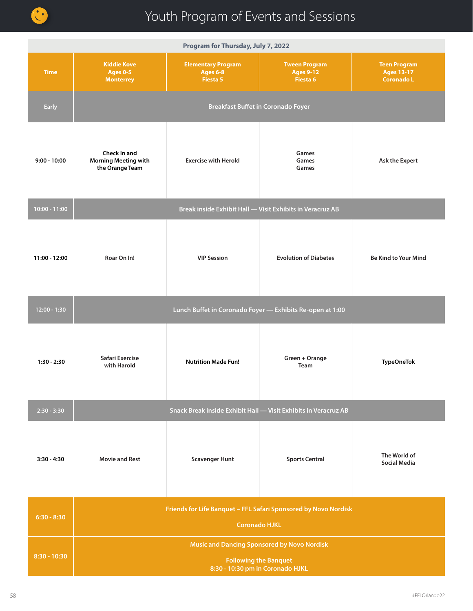

| Program for Thursday, July 7, 2022 |                                                                                                                        |                                                          |                                                                 |                                                               |  |  |  |
|------------------------------------|------------------------------------------------------------------------------------------------------------------------|----------------------------------------------------------|-----------------------------------------------------------------|---------------------------------------------------------------|--|--|--|
| <b>Time</b>                        | <b>Kiddie Kove</b><br><b>Ages 0-5</b><br><b>Monterrey</b>                                                              | <b>Elementary Program</b><br><b>Ages 6-8</b><br>Fiesta 5 |                                                                 | <b>Teen Program</b><br><b>Ages 13-17</b><br><b>Coronado L</b> |  |  |  |
| <b>Early</b>                       | <b>Breakfast Buffet in Coronado Foyer</b>                                                                              |                                                          |                                                                 |                                                               |  |  |  |
| $9:00 - 10:00$                     | Check In and<br><b>Morning Meeting with</b><br>the Orange Team                                                         | <b>Exercise with Herold</b>                              | Games<br>Games<br>Games                                         | <b>Ask the Expert</b>                                         |  |  |  |
| 10:00 - 11:00                      |                                                                                                                        |                                                          | Break inside Exhibit Hall - Visit Exhibits in Veracruz AB       |                                                               |  |  |  |
| 11:00 - 12:00                      | Roar On In!                                                                                                            | <b>VIP Session</b>                                       | <b>Evolution of Diabetes</b>                                    | <b>Be Kind to Your Mind</b>                                   |  |  |  |
| $12:00 - 1:30$                     | Lunch Buffet in Coronado Foyer - Exhibits Re-open at 1:00                                                              |                                                          |                                                                 |                                                               |  |  |  |
| $1:30 - 2:30$                      | Safari Exercise<br>with Harold                                                                                         | <b>Nutrition Made Fun!</b>                               | Green + Orange<br><b>Team</b>                                   | <b>TypeOneTok</b>                                             |  |  |  |
| $2:30 - 3:30$                      |                                                                                                                        |                                                          | Snack Break inside Exhibit Hall - Visit Exhibits in Veracruz AB |                                                               |  |  |  |
| $3:30 - 4:30$                      | <b>Movie and Rest</b>                                                                                                  | <b>Scavenger Hunt</b>                                    | <b>Sports Central</b>                                           | The World of<br><b>Social Media</b>                           |  |  |  |
| $6:30 - 8:30$                      | Friends for Life Banquet - FFL Safari Sponsored by Novo Nordisk<br>Coronado HJKL                                       |                                                          |                                                                 |                                                               |  |  |  |
| $8:30 - 10:30$                     | <b>Music and Dancing Sponsored by Novo Nordisk</b><br><b>Following the Banquet</b><br>8:30 - 10:30 pm in Coronado HJKL |                                                          |                                                                 |                                                               |  |  |  |